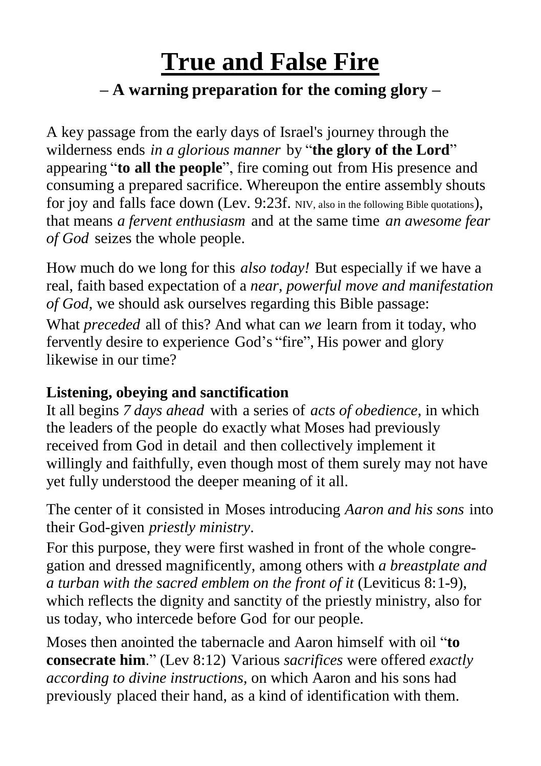## **True and False Fire – A warning preparation for the coming glory –**

A key passage from the early days of Israel's journey through the wilderness ends *in a glorious manner* by "**the glory of the Lord**" appearing "**to all the people**", fire coming out from His presence and consuming a prepared sacrifice. Whereupon the entire assembly shouts for joy and falls face down (Lev. 9:23f. NIV, also in the following Bible quotations), that means *a fervent enthusiasm* and at the same time *an awesome fear of God* seizes the whole people.

How much do we long for this *also today!* But especially if we have a real, faith based expectation of a *near, powerful move and manifestation of God*, we should ask ourselves regarding this Bible passage: What *preceded* all of this? And what can *we* learn from it today, who fervently desire to experience God's "fire", His power and glory likewise in our time?

## **Listening, obeying and sanctification**

It all begins *7 days ahead* with a series of *acts of obedience*, in which the leaders of the people do exactly what Moses had previously received from God in detail and then collectively implement it willingly and faithfully, even though most of them surely may not have yet fully understood the deeper meaning of it all.

The center of it consisted in Moses introducing *Aaron and his sons* into their God-given *priestly ministry*.

For this purpose, they were first washed in front of the whole congregation and dressed magnificently, among others with *a breastplate and a turban with the sacred emblem on the front of it* (Leviticus 8:1-9), which reflects the dignity and sanctity of the priestly ministry, also for us today, who intercede before God for our people.

Moses then anointed the tabernacle and Aaron himself with oil "**to consecrate him**." (Lev 8:12) Various *sacrifices* were offered *exactly according to divine instructions,* on which Aaron and his sons had previously placed their hand, as a kind of identification with them.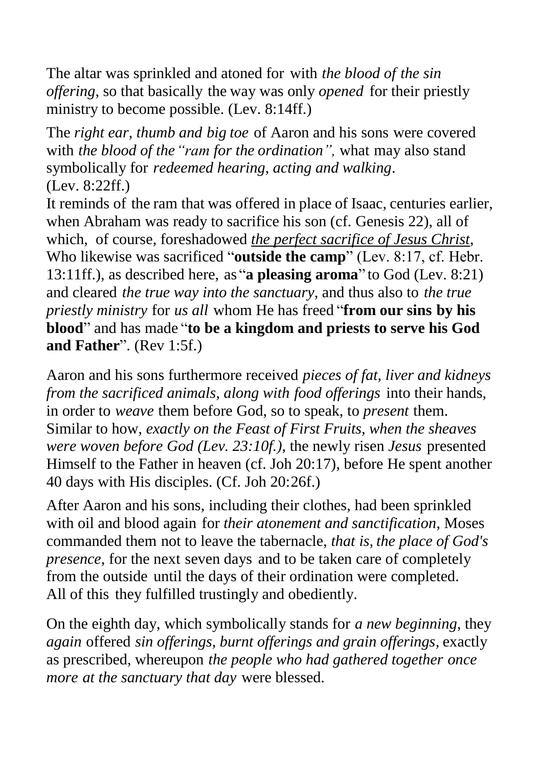The altar was sprinkled and atoned for with *the blood of the sin offering*, so that basically the way was only *opened* for their priestly ministry to become possible. (Lev. 8:14ff.)

The *right ear, thumb and big toe* of Aaron and his sons were covered with *the blood of the"ram for the ordination",* what may also stand symbolically for *redeemed hearing, acting and walking*. (Lev. 8:22ff.)

It reminds of the ram that was offered in place of Isaac, centuries earlier, when Abraham was ready to sacrifice his son (cf. Genesis 22), all of which, of course, foreshadowed *the perfect sacrifice of Jesus Christ*, Who likewise was sacrificed "**outside the camp**" (Lev. 8:17, cf. Hebr. 13:11ff.), as described here, as "**a pleasing aroma**" to God (Lev. 8:21) and cleared *the true way into the sanctuary*, and thus also to *the true priestly ministry* for *us all* whom He has freed "**from our sins by his blood**" and has made "**to be a kingdom and priests to serve his God and Father**". (Rev 1:5f.)

Aaron and his sons furthermore received *pieces of fat, liver and kidneys from the sacrificed animals, along with food offerings* into their hands, in order to *weave* them before God, so to speak, to *present* them. Similar to how, *exactly on the Feast of First Fruits, when the sheaves were woven before God (Lev. 23:10f.)*, the newly risen *Jesus* presented Himself to the Father in heaven (cf. Joh 20:17), before He spent another 40 days with His disciples. (Cf. Joh 20:26f.)

After Aaron and his sons, including their clothes, had been sprinkled with oil and blood again for *their atonement and sanctification*, Moses commanded them not to leave the tabernacle, *that is, the place of God's presence*, for the next seven days and to be taken care of completely from the outside until the days of their ordination were completed. All of this they fulfilled trustingly and obediently.

On the eighth day, which symbolically stands for *a new beginning*, they *again* offered *sin offerings, burnt offerings and grain offerings,* exactly as prescribed, whereupon *the people who had gathered together once more at the sanctuary that day* were blessed.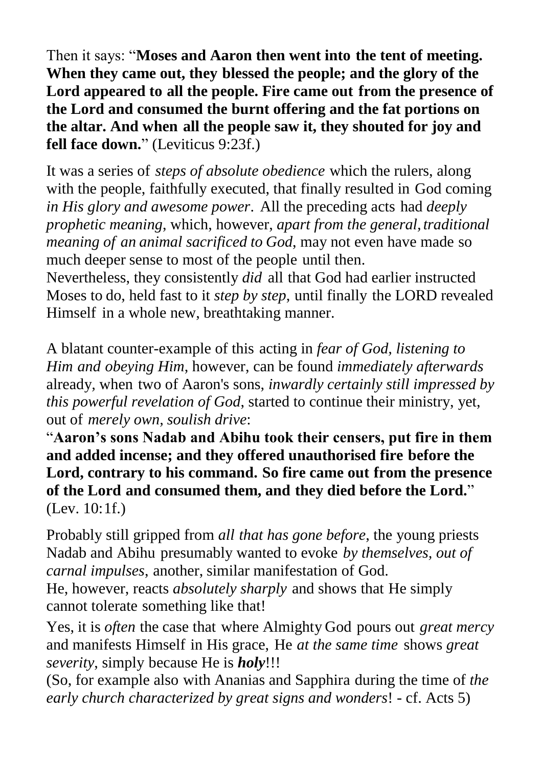Then it says: "**Moses and Aaron then went into the tent of meeting. When they came out, they blessed the people; and the glory of the Lord appeared to all the people. Fire came out from the presence of the Lord and consumed the burnt offering and the fat portions on the altar. And when all the people saw it, they shouted for joy and fell face down.**" (Leviticus 9:23f.)

It was a series of *steps of absolute obedience* which the rulers, along with the people, faithfully executed, that finally resulted in God coming *in His glory and awesome power*. All the preceding acts had *deeply prophetic meaning*, which, however, *apart from the general, traditional meaning of an animal sacrificed to God*, may not even have made so much deeper sense to most of the people until then.

Nevertheless, they consistently *did* all that God had earlier instructed Moses to do, held fast to it *step by step*, until finally the LORD revealed Himself in a whole new, breathtaking manner.

A blatant counter-example of this acting in *fear of God, listening to Him and obeying Him*, however, can be found *immediately afterwards* already*,* when two of Aaron's sons, *inwardly certainly still impressed by this powerful revelation of God*, started to continue their ministry, yet, out of *merely own, soulish drive*:

"**Aaron's sons Nadab and Abihu took their censers, put fire in them and added incense; and they offered unauthorised fire before the Lord, contrary to his command. So fire came out from the presence of the Lord and consumed them, and they died before the Lord.**" (Lev. 10:1f.)

Probably still gripped from *all that has gone before*, the young priests Nadab and Abihu presumably wanted to evoke *by themselves, out of carnal impulses*, another, similar manifestation of God.

He, however, reacts *absolutely sharply* and shows that He simply cannot tolerate something like that!

Yes, it is *often* the case that where Almighty God pours out *great mercy* and manifests Himself in His grace, He *at the same time* shows *great severity*, simply because He is *holy*!!!

(So, for example also with Ananias and Sapphira during the time of *the early church characterized by great signs and wonders*! - cf. Acts 5)